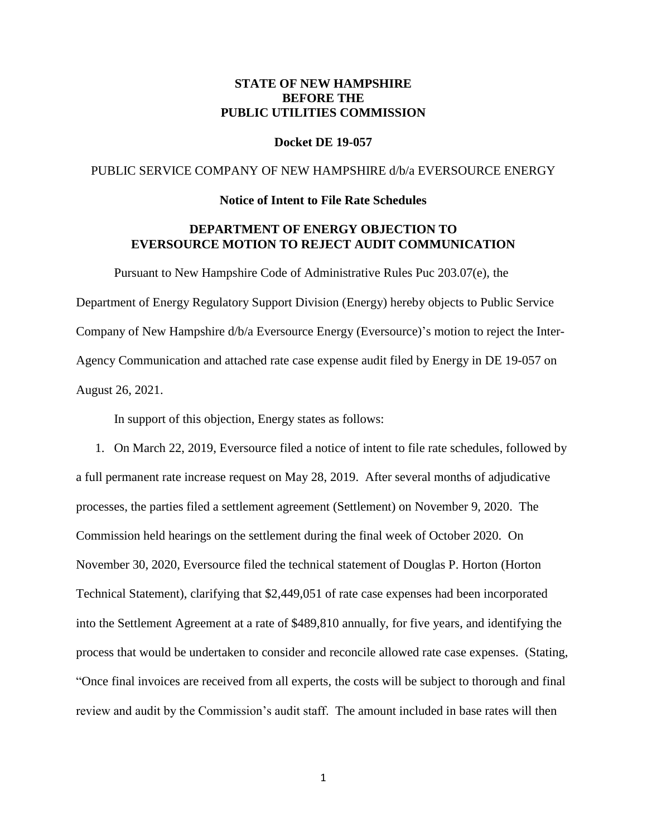## **STATE OF NEW HAMPSHIRE BEFORE THE PUBLIC UTILITIES COMMISSION**

#### **Docket DE 19-057**

### PUBLIC SERVICE COMPANY OF NEW HAMPSHIRE d/b/a EVERSOURCE ENERGY

#### **Notice of Intent to File Rate Schedules**

## **DEPARTMENT OF ENERGY OBJECTION TO EVERSOURCE MOTION TO REJECT AUDIT COMMUNICATION**

Pursuant to New Hampshire Code of Administrative Rules Puc 203.07(e), the Department of Energy Regulatory Support Division (Energy) hereby objects to Public Service Company of New Hampshire d/b/a Eversource Energy (Eversource)'s motion to reject the Inter-Agency Communication and attached rate case expense audit filed by Energy in DE 19-057 on August 26, 2021.

In support of this objection, Energy states as follows:

1. On March 22, 2019, Eversource filed a notice of intent to file rate schedules, followed by a full permanent rate increase request on May 28, 2019. After several months of adjudicative processes, the parties filed a settlement agreement (Settlement) on November 9, 2020. The Commission held hearings on the settlement during the final week of October 2020. On November 30, 2020, Eversource filed the technical statement of Douglas P. Horton (Horton Technical Statement), clarifying that \$2,449,051 of rate case expenses had been incorporated into the Settlement Agreement at a rate of \$489,810 annually, for five years, and identifying the process that would be undertaken to consider and reconcile allowed rate case expenses. (Stating, "Once final invoices are received from all experts, the costs will be subject to thorough and final review and audit by the Commission's audit staff. The amount included in base rates will then

1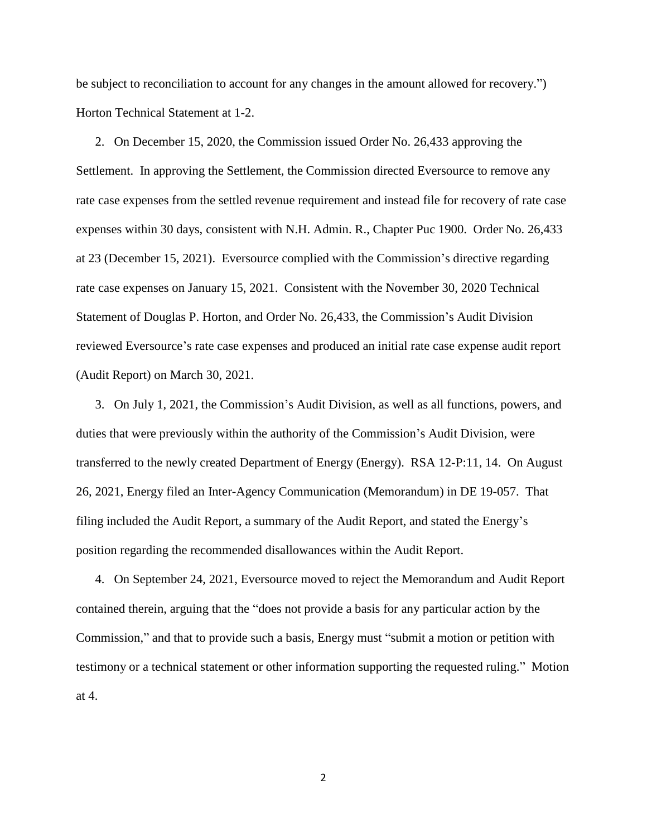be subject to reconciliation to account for any changes in the amount allowed for recovery.") Horton Technical Statement at 1-2.

2. On December 15, 2020, the Commission issued Order No. 26,433 approving the Settlement. In approving the Settlement, the Commission directed Eversource to remove any rate case expenses from the settled revenue requirement and instead file for recovery of rate case expenses within 30 days, consistent with N.H. Admin. R., Chapter Puc 1900. Order No. 26,433 at 23 (December 15, 2021). Eversource complied with the Commission's directive regarding rate case expenses on January 15, 2021. Consistent with the November 30, 2020 Technical Statement of Douglas P. Horton, and Order No. 26,433, the Commission's Audit Division reviewed Eversource's rate case expenses and produced an initial rate case expense audit report (Audit Report) on March 30, 2021.

3. On July 1, 2021, the Commission's Audit Division, as well as all functions, powers, and duties that were previously within the authority of the Commission's Audit Division, were transferred to the newly created Department of Energy (Energy). RSA 12-P:11, 14. On August 26, 2021, Energy filed an Inter-Agency Communication (Memorandum) in DE 19-057. That filing included the Audit Report, a summary of the Audit Report, and stated the Energy's position regarding the recommended disallowances within the Audit Report.

4. On September 24, 2021, Eversource moved to reject the Memorandum and Audit Report contained therein, arguing that the "does not provide a basis for any particular action by the Commission," and that to provide such a basis, Energy must "submit a motion or petition with testimony or a technical statement or other information supporting the requested ruling." Motion at 4.

2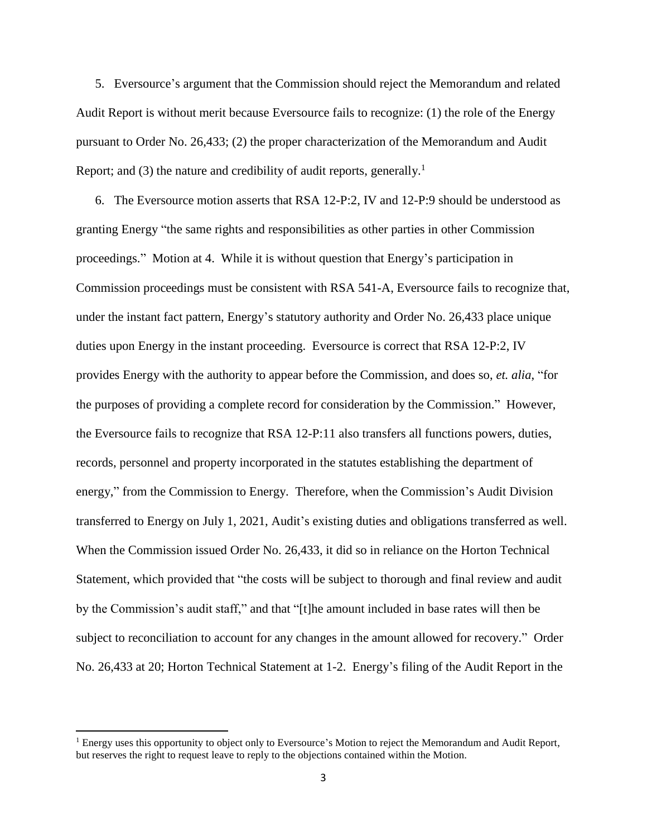5. Eversource's argument that the Commission should reject the Memorandum and related Audit Report is without merit because Eversource fails to recognize: (1) the role of the Energy pursuant to Order No. 26,433; (2) the proper characterization of the Memorandum and Audit Report; and (3) the nature and credibility of audit reports, generally.<sup>1</sup>

6. The Eversource motion asserts that RSA 12-P:2, IV and 12-P:9 should be understood as granting Energy "the same rights and responsibilities as other parties in other Commission proceedings." Motion at 4. While it is without question that Energy's participation in Commission proceedings must be consistent with RSA 541-A, Eversource fails to recognize that, under the instant fact pattern, Energy's statutory authority and Order No. 26,433 place unique duties upon Energy in the instant proceeding. Eversource is correct that RSA 12-P:2, IV provides Energy with the authority to appear before the Commission, and does so, *et. alia*, "for the purposes of providing a complete record for consideration by the Commission." However, the Eversource fails to recognize that RSA 12-P:11 also transfers all functions powers, duties, records, personnel and property incorporated in the statutes establishing the department of energy," from the Commission to Energy. Therefore, when the Commission's Audit Division transferred to Energy on July 1, 2021, Audit's existing duties and obligations transferred as well. When the Commission issued Order No. 26,433, it did so in reliance on the Horton Technical Statement, which provided that "the costs will be subject to thorough and final review and audit by the Commission's audit staff," and that "[t]he amount included in base rates will then be subject to reconciliation to account for any changes in the amount allowed for recovery." Order No. 26,433 at 20; Horton Technical Statement at 1-2. Energy's filing of the Audit Report in the

 $\overline{a}$ 

<sup>&</sup>lt;sup>1</sup> Energy uses this opportunity to object only to Eversource's Motion to reject the Memorandum and Audit Report, but reserves the right to request leave to reply to the objections contained within the Motion.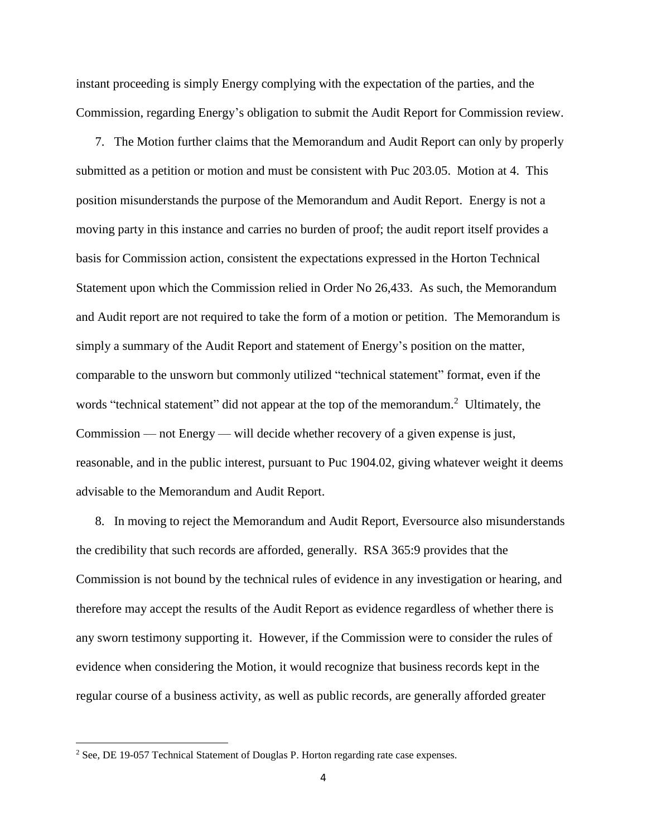instant proceeding is simply Energy complying with the expectation of the parties, and the Commission, regarding Energy's obligation to submit the Audit Report for Commission review.

7. The Motion further claims that the Memorandum and Audit Report can only by properly submitted as a petition or motion and must be consistent with Puc 203.05. Motion at 4. This position misunderstands the purpose of the Memorandum and Audit Report. Energy is not a moving party in this instance and carries no burden of proof; the audit report itself provides a basis for Commission action, consistent the expectations expressed in the Horton Technical Statement upon which the Commission relied in Order No 26,433. As such, the Memorandum and Audit report are not required to take the form of a motion or petition. The Memorandum is simply a summary of the Audit Report and statement of Energy's position on the matter, comparable to the unsworn but commonly utilized "technical statement" format, even if the words "technical statement" did not appear at the top of the memorandum.<sup>2</sup> Ultimately, the Commission — not Energy — will decide whether recovery of a given expense is just, reasonable, and in the public interest, pursuant to Puc 1904.02, giving whatever weight it deems advisable to the Memorandum and Audit Report.

8. In moving to reject the Memorandum and Audit Report, Eversource also misunderstands the credibility that such records are afforded, generally. RSA 365:9 provides that the Commission is not bound by the technical rules of evidence in any investigation or hearing, and therefore may accept the results of the Audit Report as evidence regardless of whether there is any sworn testimony supporting it. However, if the Commission were to consider the rules of evidence when considering the Motion, it would recognize that business records kept in the regular course of a business activity, as well as public records, are generally afforded greater

 $\overline{\phantom{a}}$ 

<sup>&</sup>lt;sup>2</sup> See, DE 19-057 Technical Statement of Douglas P. Horton regarding rate case expenses.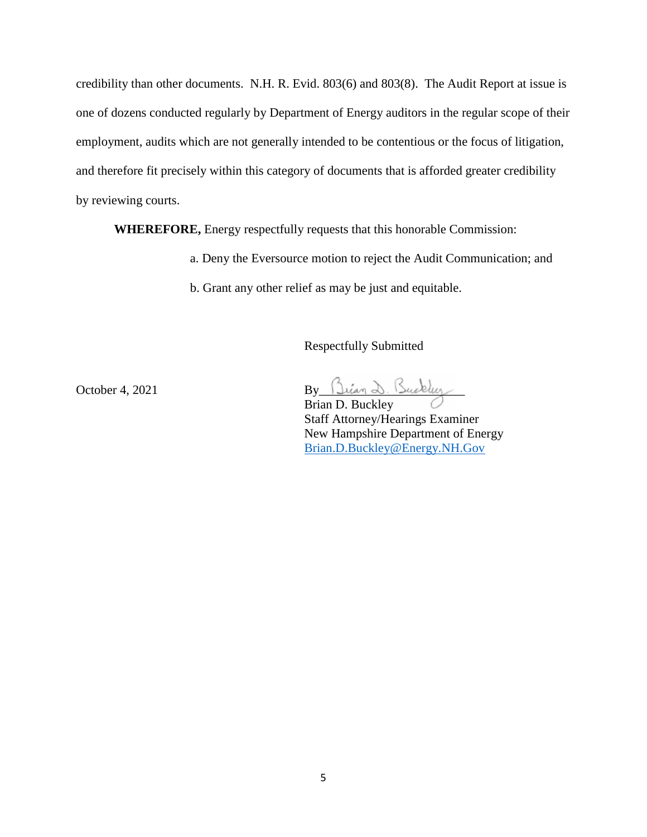credibility than other documents. N.H. R. Evid. 803(6) and 803(8). The Audit Report at issue is one of dozens conducted regularly by Department of Energy auditors in the regular scope of their employment, audits which are not generally intended to be contentious or the focus of litigation, and therefore fit precisely within this category of documents that is afforded greater credibility by reviewing courts.

**WHEREFORE,** Energy respectfully requests that this honorable Commission:

- a. Deny the Eversource motion to reject the Audit Communication; and
- b. Grant any other relief as may be just and equitable.

Respectfully Submitted

 $\text{October 4, 2021} \quad \text{By} \quad \text{Lian} \quad \text{S.}$ 

Brian D. Buckley Staff Attorney/Hearings Examiner New Hampshire Department of Energy [Brian.D.Buckley@Energy.NH.Gov](mailto:Brian.D.Buckley@Energy.NH.Gov)